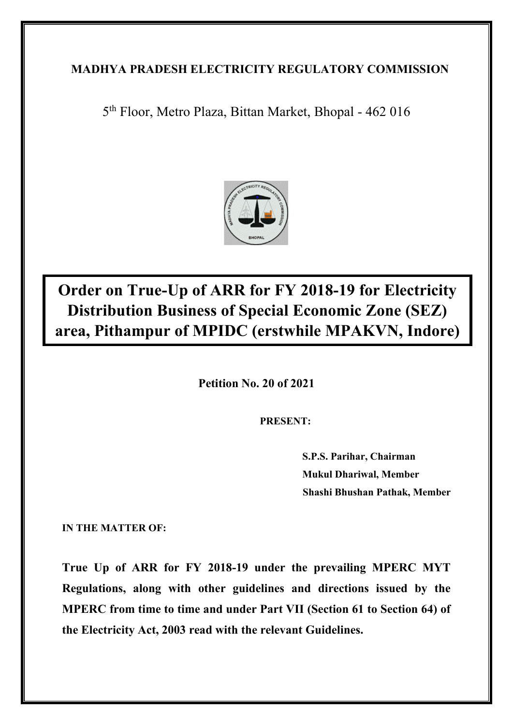## **MADHYA PRADESH ELECTRICITY REGULATORY COMMISSION**

5 th Floor, Metro Plaza, Bittan Market, Bhopal - 462 016



# **Order on True-Up of ARR for FY 2018-19 for Electricity Distribution Business of Special Economic Zone (SEZ) area, Pithampur of MPIDC (erstwhile MPAKVN, Indore)**

**Petition No. 20 of 2021**

**PRESENT:**

**S.P.S. Parihar, Chairman Mukul Dhariwal, Member Shashi Bhushan Pathak, Member**

**IN THE MATTER OF:**

**True Up of ARR for FY 2018-19 under the prevailing MPERC MYT Regulations, along with other guidelines and directions issued by the MPERC from time to time and under Part VII (Section 61 to Section 64) of the Electricity Act, 2003 read with the relevant Guidelines.**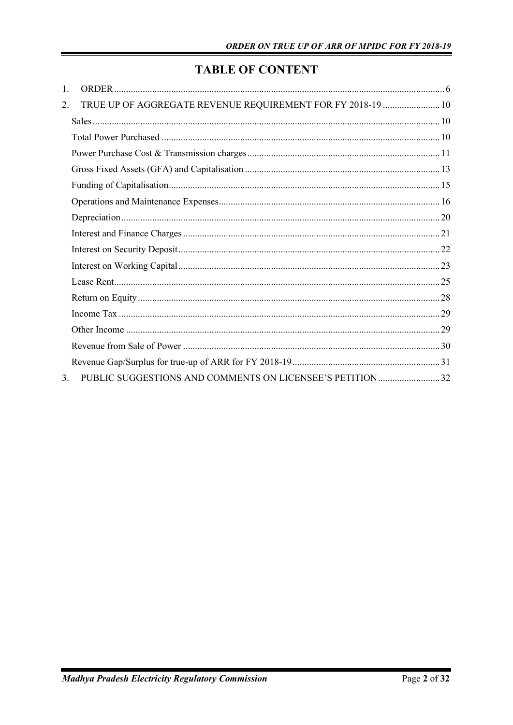## **TABLE OF CONTENT**

| 1. |                                                             |  |
|----|-------------------------------------------------------------|--|
| 2. | TRUE UP OF AGGREGATE REVENUE REQUIREMENT FOR FY 2018-19  10 |  |
|    |                                                             |  |
|    |                                                             |  |
|    |                                                             |  |
|    |                                                             |  |
|    |                                                             |  |
|    |                                                             |  |
|    |                                                             |  |
|    |                                                             |  |
|    |                                                             |  |
|    |                                                             |  |
|    |                                                             |  |
|    |                                                             |  |
|    |                                                             |  |
|    |                                                             |  |
|    |                                                             |  |
|    |                                                             |  |
| 3. |                                                             |  |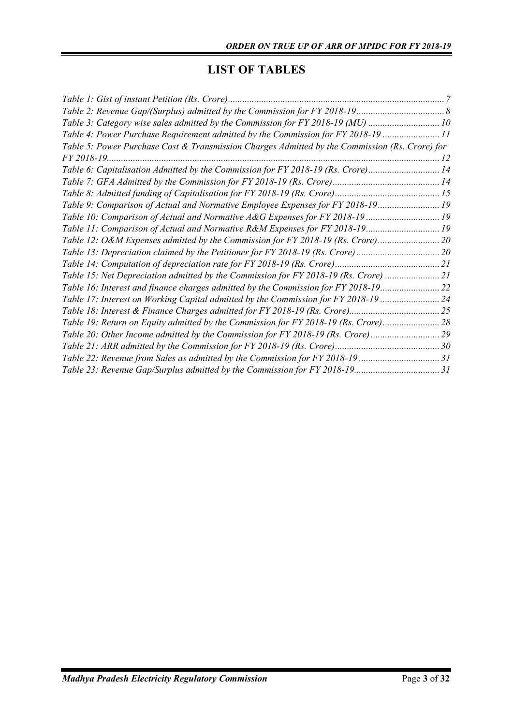## **LIST OF TABLES**

| Table 3: Category wise sales admitted by the Commission for FY 2018-19 (MU) 10                 |  |
|------------------------------------------------------------------------------------------------|--|
| Table 4: Power Purchase Requirement admitted by the Commission for FY 2018-19 11               |  |
| Table 5: Power Purchase Cost & Transmission Charges Admitted by the Commission (Rs. Crore) for |  |
| FY 2018-19.                                                                                    |  |
| Table 6: Capitalisation Admitted by the Commission for FY 2018-19 (Rs. Crore)14                |  |
|                                                                                                |  |
|                                                                                                |  |
| Table 9: Comparison of Actual and Normative Employee Expenses for FY 2018-19 19                |  |
| Table 10: Comparison of Actual and Normative A&G Expenses for FY 2018-19  19                   |  |
| Table 11: Comparison of Actual and Normative R&M Expenses for FY 2018-19 19                    |  |
| Table 12: O&M Expenses admitted by the Commission for FY 2018-19 (Rs. Crore)20                 |  |
| Table 13: Depreciation claimed by the Petitioner for FY 2018-19 (Rs. Crore)                    |  |
|                                                                                                |  |
| Table 15: Net Depreciation admitted by the Commission for FY 2018-19 (Rs. Crore) 21            |  |
| Table 16: Interest and finance charges admitted by the Commission for FY 2018-19               |  |
| Table 17: Interest on Working Capital admitted by the Commission for FY 2018-19  24            |  |
|                                                                                                |  |
| Table 19: Return on Equity admitted by the Commission for FY 2018-19 (Rs. Crore)28             |  |
| Table 20: Other Income admitted by the Commission for FY 2018-19 (Rs. Crore)29                 |  |
|                                                                                                |  |
| Table 22: Revenue from Sales as admitted by the Commission for FY 2018-19 31                   |  |
|                                                                                                |  |
|                                                                                                |  |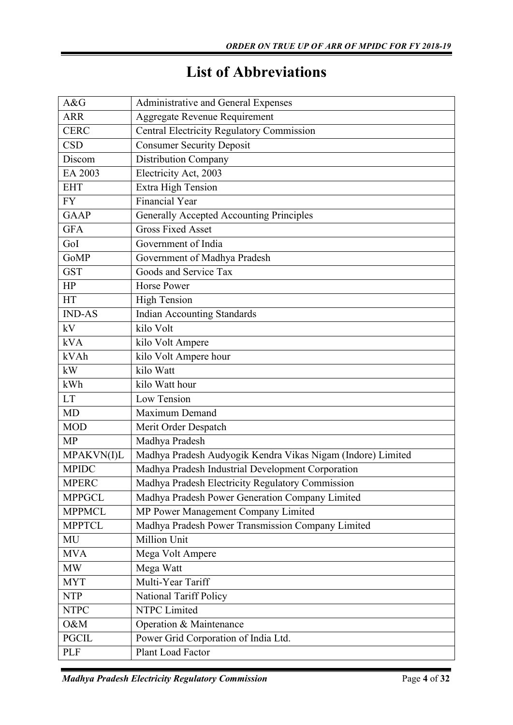# **List of Abbreviations**

| A&G           | Administrative and General Expenses                         |
|---------------|-------------------------------------------------------------|
| <b>ARR</b>    | Aggregate Revenue Requirement                               |
| <b>CERC</b>   | <b>Central Electricity Regulatory Commission</b>            |
| <b>CSD</b>    | <b>Consumer Security Deposit</b>                            |
| Discom        | <b>Distribution Company</b>                                 |
| EA 2003       | Electricity Act, 2003                                       |
| <b>EHT</b>    | Extra High Tension                                          |
| <b>FY</b>     | <b>Financial Year</b>                                       |
| <b>GAAP</b>   | <b>Generally Accepted Accounting Principles</b>             |
| <b>GFA</b>    | <b>Gross Fixed Asset</b>                                    |
| GoI           | Government of India                                         |
| GoMP          | Government of Madhya Pradesh                                |
| <b>GST</b>    | Goods and Service Tax                                       |
| HP            | <b>Horse Power</b>                                          |
| HT            | <b>High Tension</b>                                         |
| <b>IND-AS</b> | <b>Indian Accounting Standards</b>                          |
| kV            | kilo Volt                                                   |
| <b>kVA</b>    | kilo Volt Ampere                                            |
| kVAh          | kilo Volt Ampere hour                                       |
| kW            | kilo Watt                                                   |
| kWh           | kilo Watt hour                                              |
| <b>LT</b>     | Low Tension                                                 |
| <b>MD</b>     | Maximum Demand                                              |
| <b>MOD</b>    | Merit Order Despatch                                        |
| <b>MP</b>     | Madhya Pradesh                                              |
| MPAKVN(I)L    | Madhya Pradesh Audyogik Kendra Vikas Nigam (Indore) Limited |
| <b>MPIDC</b>  | Madhya Pradesh Industrial Development Corporation           |
| <b>MPERC</b>  | Madhya Pradesh Electricity Regulatory Commission            |
| <b>MPPGCL</b> | Madhya Pradesh Power Generation Company Limited             |
| <b>MPPMCL</b> | MP Power Management Company Limited                         |
| <b>MPPTCL</b> | Madhya Pradesh Power Transmission Company Limited           |
| MU            | <b>Million Unit</b>                                         |
| <b>MVA</b>    | Mega Volt Ampere                                            |
| <b>MW</b>     | Mega Watt                                                   |
| <b>MYT</b>    | Multi-Year Tariff                                           |
| <b>NTP</b>    | National Tariff Policy                                      |
| <b>NTPC</b>   | NTPC Limited                                                |
| O&M           | Operation & Maintenance                                     |
| <b>PGCIL</b>  | Power Grid Corporation of India Ltd.                        |
| <b>PLF</b>    | Plant Load Factor                                           |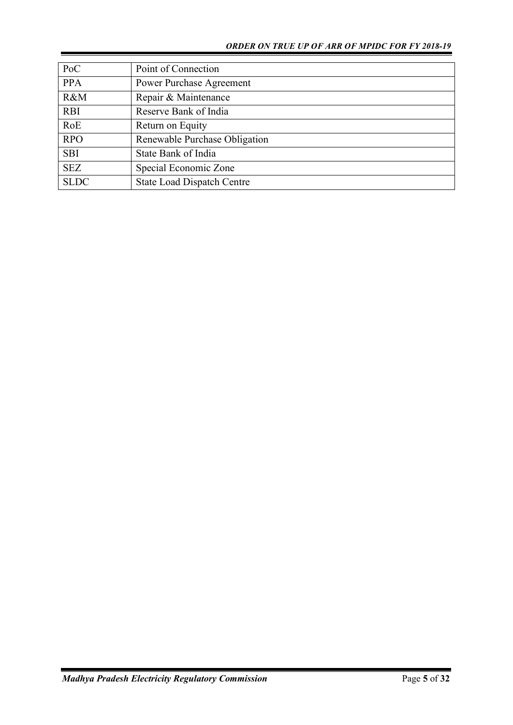| PoC         | Point of Connection               |
|-------------|-----------------------------------|
| <b>PPA</b>  | <b>Power Purchase Agreement</b>   |
| R&M         | Repair & Maintenance              |
| <b>RBI</b>  | Reserve Bank of India             |
| RoE         | Return on Equity                  |
| <b>RPO</b>  | Renewable Purchase Obligation     |
| <b>SBI</b>  | State Bank of India               |
| <b>SEZ</b>  | Special Economic Zone             |
| <b>SLDC</b> | <b>State Load Dispatch Centre</b> |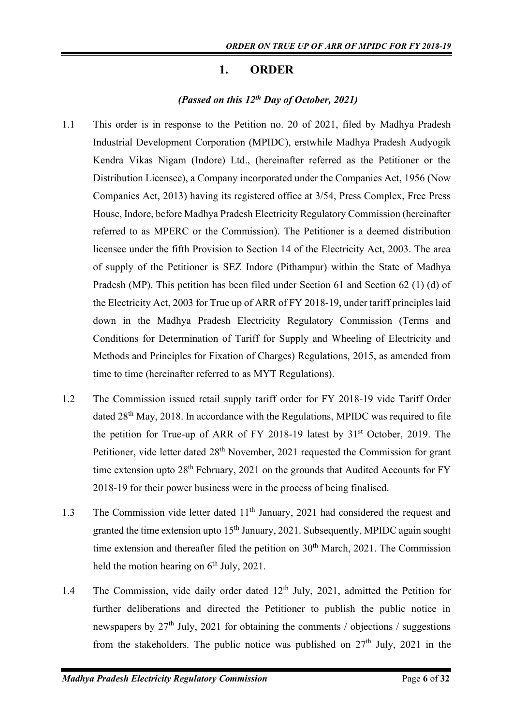## **1. ORDER**

## *(Passed on this 12th Day of October, 2021)*

- 1.1 This order is in response to the Petition no. 20 of 2021, filed by Madhya Pradesh Industrial Development Corporation (MPIDC), erstwhile Madhya Pradesh Audyogik Kendra Vikas Nigam (Indore) Ltd., (hereinafter referred as the Petitioner or the Distribution Licensee), a Company incorporated under the Companies Act, 1956 (Now Companies Act, 2013) having its registered office at 3/54, Press Complex, Free Press House, Indore, before Madhya Pradesh Electricity Regulatory Commission (hereinafter referred to as MPERC or the Commission). The Petitioner is a deemed distribution licensee under the fifth Provision to Section 14 of the Electricity Act, 2003. The area of supply of the Petitioner is SEZ Indore (Pithampur) within the State of Madhya Pradesh (MP). This petition has been filed under Section 61 and Section 62 (1) (d) of the Electricity Act, 2003 for True up of ARR of FY 2018-19, under tariff principles laid down in the Madhya Pradesh Electricity Regulatory Commission (Terms and Conditions for Determination of Tariff for Supply and Wheeling of Electricity and Methods and Principles for Fixation of Charges) Regulations, 2015, as amended from time to time (hereinafter referred to as MYT Regulations).
- 1.2 The Commission issued retail supply tariff order for FY 2018-19 vide Tariff Order dated 28<sup>th</sup> May, 2018. In accordance with the Regulations, MPIDC was required to file the petition for True-up of ARR of FY 2018-19 latest by  $31<sup>st</sup>$  October, 2019. The Petitioner, vide letter dated 28<sup>th</sup> November, 2021 requested the Commission for grant time extension upto  $28<sup>th</sup>$  February, 2021 on the grounds that Audited Accounts for FY 2018-19 for their power business were in the process of being finalised.
- 1.3 The Commission vide letter dated  $11<sup>th</sup>$  January, 2021 had considered the request and granted the time extension upto  $15<sup>th</sup>$  January, 2021. Subsequently, MPIDC again sought time extension and thereafter filed the petition on  $30<sup>th</sup>$  March, 2021. The Commission held the motion hearing on  $6<sup>th</sup>$  July, 2021.
- 1.4 The Commission, vide daily order dated 12<sup>th</sup> July, 2021, admitted the Petition for further deliberations and directed the Petitioner to publish the public notice in newspapers by  $27<sup>th</sup>$  July, 2021 for obtaining the comments / objections / suggestions from the stakeholders. The public notice was published on  $27<sup>th</sup>$  July, 2021 in the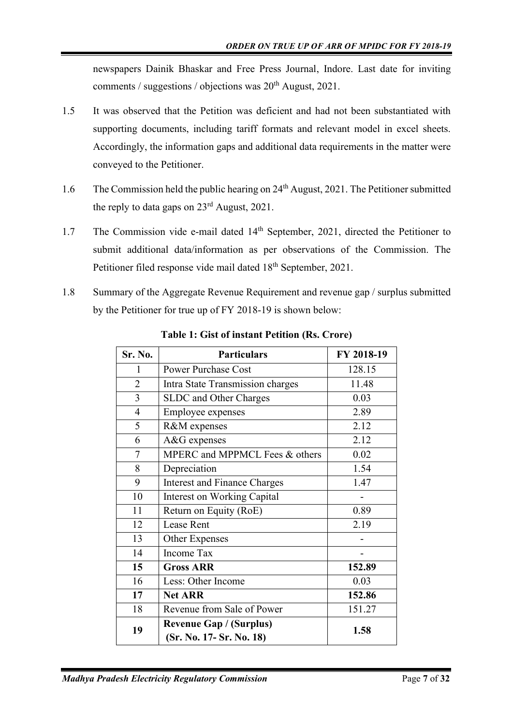newspapers Dainik Bhaskar and Free Press Journal, Indore. Last date for inviting comments / suggestions / objections was  $20<sup>th</sup>$  August, 2021.

- 1.5 It was observed that the Petition was deficient and had not been substantiated with supporting documents, including tariff formats and relevant model in excel sheets. Accordingly, the information gaps and additional data requirements in the matter were conveyed to the Petitioner.
- 1.6 The Commission held the public hearing on 24<sup>th</sup> August, 2021. The Petitioner submitted the reply to data gaps on  $23<sup>rd</sup>$  August, 2021.
- 1.7 The Commission vide e-mail dated 14<sup>th</sup> September, 2021, directed the Petitioner to submit additional data/information as per observations of the Commission. The Petitioner filed response vide mail dated 18<sup>th</sup> September, 2021.
- 1.8 Summary of the Aggregate Revenue Requirement and revenue gap / surplus submitted by the Petitioner for true up of FY 2018-19 is shown below:

| Sr. No.        | <b>Particulars</b>                  | FY 2018-19 |
|----------------|-------------------------------------|------------|
| 1              | <b>Power Purchase Cost</b>          | 128.15     |
| $\overline{2}$ | Intra State Transmission charges    | 11.48      |
| 3              | SLDC and Other Charges              | 0.03       |
| $\overline{4}$ | Employee expenses                   | 2.89       |
| 5              | R&M expenses                        | 2.12       |
| 6              | A&G expenses                        | 2.12       |
| 7              | MPERC and MPPMCL Fees & others      | 0.02       |
| 8              | Depreciation                        | 1.54       |
| 9              | <b>Interest and Finance Charges</b> | 1.47       |
| 10             | Interest on Working Capital         |            |
| 11             | Return on Equity (RoE)              | 0.89       |
| 12             | <b>Lease Rent</b>                   | 2.19       |
| 13             | Other Expenses                      |            |
| 14             | <b>Income Tax</b>                   | -          |
| 15             | <b>Gross ARR</b>                    | 152.89     |
| 16             | Less: Other Income                  | 0.03       |
| 17             | <b>Net ARR</b>                      | 152.86     |
| 18             | Revenue from Sale of Power          | 151.27     |
| 19             | <b>Revenue Gap / (Surplus)</b>      | 1.58       |
|                | (Sr. No. 17 - Sr. No. 18)           |            |

**Table 1: Gist of instant Petition (Rs. Crore)**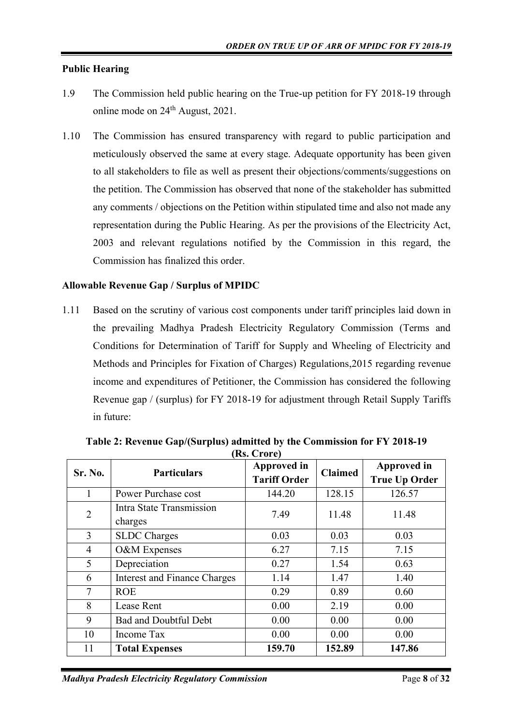#### **Public Hearing**

- 1.9 The Commission held public hearing on the True-up petition for FY 2018-19 through online mode on 24th August, 2021.
- 1.10 The Commission has ensured transparency with regard to public participation and meticulously observed the same at every stage. Adequate opportunity has been given to all stakeholders to file as well as present their objections/comments/suggestions on the petition. The Commission has observed that none of the stakeholder has submitted any comments / objections on the Petition within stipulated time and also not made any representation during the Public Hearing. As per the provisions of the Electricity Act, 2003 and relevant regulations notified by the Commission in this regard, the Commission has finalized this order.

#### **Allowable Revenue Gap / Surplus of MPIDC**

1.11 Based on the scrutiny of various cost components under tariff principles laid down in the prevailing Madhya Pradesh Electricity Regulatory Commission (Terms and Conditions for Determination of Tariff for Supply and Wheeling of Electricity and Methods and Principles for Fixation of Charges) Regulations,2015 regarding revenue income and expenditures of Petitioner, the Commission has considered the following Revenue gap / (surplus) for FY 2018-19 for adjustment through Retail Supply Tariffs in future:

| Sr. No.        | <b>Particulars</b>                  | Approved in<br><b>Tariff Order</b> | <b>Claimed</b> | Approved in<br><b>True Up Order</b> |
|----------------|-------------------------------------|------------------------------------|----------------|-------------------------------------|
| 1              | Power Purchase cost                 | 144.20                             | 128.15         | 126.57                              |
| $\overline{2}$ | Intra State Transmission<br>charges | 7.49                               | 11.48          | 11.48                               |
| 3              | <b>SLDC</b> Charges                 | 0.03                               | 0.03           | 0.03                                |
| 4              | O&M Expenses                        | 6.27                               | 7.15           | 7.15                                |
| 5              | Depreciation                        | 0.27                               | 1.54           | 0.63                                |
| 6              | <b>Interest and Finance Charges</b> | 1.14                               | 1.47           | 1.40                                |
| $\tau$         | <b>ROE</b>                          | 0.29                               | 0.89           | 0.60                                |
| 8              | Lease Rent                          | 0.00                               | 2.19           | 0.00                                |
| 9              | <b>Bad and Doubtful Debt</b>        | 0.00                               | 0.00           | 0.00                                |
| 10             | Income Tax                          | 0.00                               | 0.00           | 0.00                                |
| 11             | <b>Total Expenses</b>               | 159.70                             | 152.89         | 147.86                              |

**Table 2: Revenue Gap/(Surplus) admitted by the Commission for FY 2018-19 (Rs. Crore)**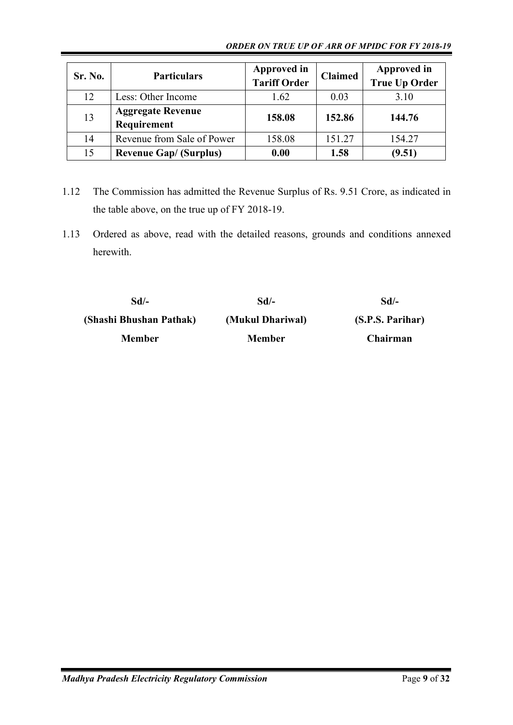#### *ORDER ON TRUE UP OF ARR OF MPIDC FOR FY 2018-19*

| Sr. No. | <b>Particulars</b>                      | Approved in<br><b>Tariff Order</b> | <b>Claimed</b> | <b>Approved in</b><br><b>True Up Order</b> |
|---------|-----------------------------------------|------------------------------------|----------------|--------------------------------------------|
| 12      | Less: Other Income                      | 1.62                               | 0.03           | 3.10                                       |
| 13      | <b>Aggregate Revenue</b><br>Requirement | 158.08                             | 152.86         | 144.76                                     |
| 14      | Revenue from Sale of Power              | 158.08                             | 151.27         | 154.27                                     |
| 15      | <b>Revenue Gap/ (Surplus)</b>           | 0.00                               | 1.58           | (9.51)                                     |

- 1.12 The Commission has admitted the Revenue Surplus of Rs. 9.51 Crore, as indicated in the table above, on the true up of FY 2018-19.
- 1.13 Ordered as above, read with the detailed reasons, grounds and conditions annexed herewith.

| Sd/-                    | $Sd$ /-          | Sd/-             |
|-------------------------|------------------|------------------|
| (Shashi Bhushan Pathak) | (Mukul Dhariwal) | (S.P.S. Parihar) |
| <b>Member</b>           | <b>Member</b>    | Chairman         |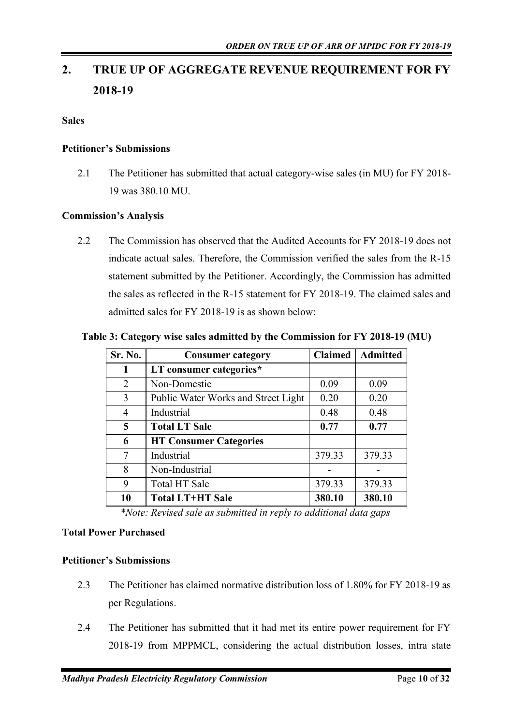# **2. TRUE UP OF AGGREGATE REVENUE REQUIREMENT FOR FY 2018-19**

**Sales**

#### **Petitioner's Submissions**

2.1 The Petitioner has submitted that actual category-wise sales (in MU) for FY 2018- 19 was 380.10 MU.

#### **Commission's Analysis**

2.2 The Commission has observed that the Audited Accounts for FY 2018-19 does not indicate actual sales. Therefore, the Commission verified the sales from the R-15 statement submitted by the Petitioner. Accordingly, the Commission has admitted the sales as reflected in the R-15 statement for FY 2018-19. The claimed sales and admitted sales for FY 2018-19 is as shown below:

| Sr. No.        | <b>Consumer category</b>            | Claimed | <b>Admitted</b> |
|----------------|-------------------------------------|---------|-----------------|
| 1              | LT consumer categories*             |         |                 |
| 2              | Non-Domestic                        | 0.09    | 0.09            |
| 3              | Public Water Works and Street Light | 0.20    | 0.20            |
| $\overline{4}$ | Industrial                          | 0.48    | 0.48            |
| 5              | <b>Total LT Sale</b>                | 0.77    | 0.77            |
| 6              | <b>HT Consumer Categories</b>       |         |                 |
| 7              | Industrial                          | 379.33  | 379.33          |
| 8              | Non-Industrial                      |         |                 |
| 9              | Total HT Sale                       | 379.33  | 379.33          |
| 10             | <b>Total LT+HT Sale</b>             | 380.10  | 380.10          |

**Table 3: Category wise sales admitted by the Commission for FY 2018-19 (MU)**

*\*Note: Revised sale as submitted in reply to additional data gaps*

#### **Total Power Purchased**

#### **Petitioner's Submissions**

- 2.3 The Petitioner has claimed normative distribution loss of 1.80% for FY 2018-19 as per Regulations.
- 2.4 The Petitioner has submitted that it had met its entire power requirement for FY 2018-19 from MPPMCL, considering the actual distribution losses, intra state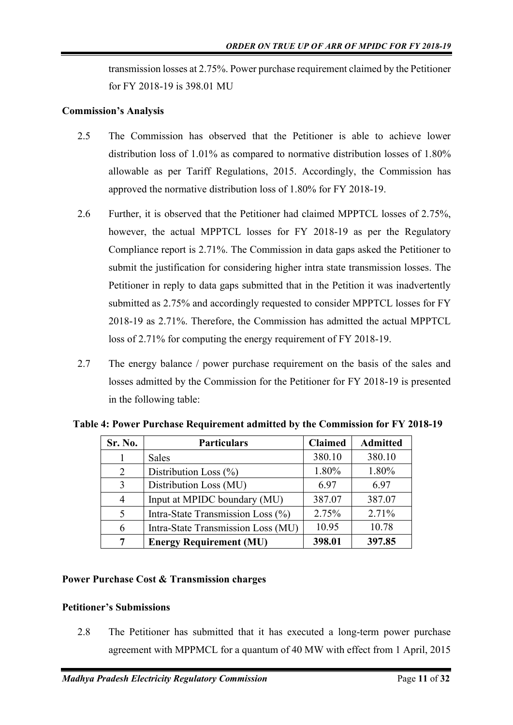transmission losses at 2.75%. Power purchase requirement claimed by the Petitioner for FY 2018-19 is 398.01 MU

#### **Commission's Analysis**

- 2.5 The Commission has observed that the Petitioner is able to achieve lower distribution loss of 1.01% as compared to normative distribution losses of 1.80% allowable as per Tariff Regulations, 2015. Accordingly, the Commission has approved the normative distribution loss of 1.80% for FY 2018-19.
- 2.6 Further, it is observed that the Petitioner had claimed MPPTCL losses of 2.75%, however, the actual MPPTCL losses for FY 2018-19 as per the Regulatory Compliance report is 2.71%. The Commission in data gaps asked the Petitioner to submit the justification for considering higher intra state transmission losses. The Petitioner in reply to data gaps submitted that in the Petition it was inadvertently submitted as 2.75% and accordingly requested to consider MPPTCL losses for FY 2018-19 as 2.71%. Therefore, the Commission has admitted the actual MPPTCL loss of 2.71% for computing the energy requirement of FY 2018-19.
- 2.7 The energy balance / power purchase requirement on the basis of the sales and losses admitted by the Commission for the Petitioner for FY 2018-19 is presented in the following table:

| Sr. No.       | <b>Particulars</b>                 | <b>Claimed</b> | <b>Admitted</b> |
|---------------|------------------------------------|----------------|-----------------|
|               | <b>Sales</b>                       | 380.10         | 380.10          |
| 2             | Distribution Loss (%)              | 1.80%          | 1.80%           |
| 3             | Distribution Loss (MU)             | 6.97           | 6.97            |
| 4             | Input at MPIDC boundary (MU)       | 387.07         | 387.07          |
| $\mathcal{F}$ | Intra-State Transmission Loss (%)  | 2.75%          | 2.71%           |
| 6             | Intra-State Transmission Loss (MU) | 10.95          | 10.78           |
| 7             | <b>Energy Requirement (MU)</b>     | 398.01         | 397.85          |

**Table 4: Power Purchase Requirement admitted by the Commission for FY 2018-19**

#### **Power Purchase Cost & Transmission charges**

#### **Petitioner's Submissions**

2.8 The Petitioner has submitted that it has executed a long-term power purchase agreement with MPPMCL for a quantum of 40 MW with effect from 1 April, 2015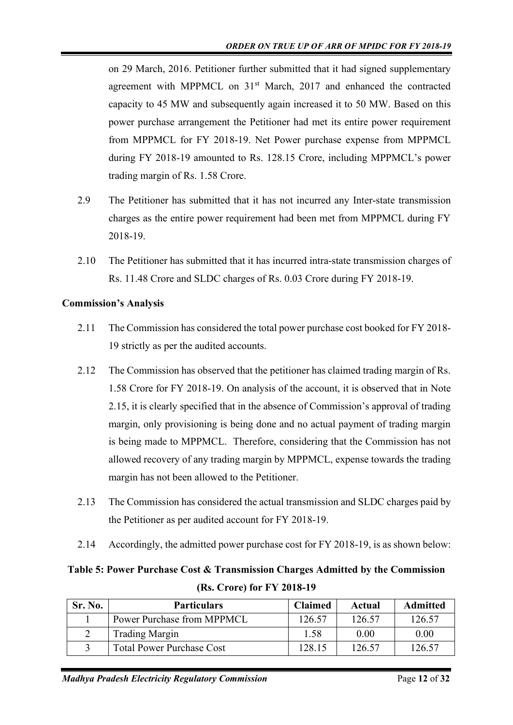on 29 March, 2016. Petitioner further submitted that it had signed supplementary agreement with MPPMCL on 31<sup>st</sup> March, 2017 and enhanced the contracted capacity to 45 MW and subsequently again increased it to 50 MW. Based on this power purchase arrangement the Petitioner had met its entire power requirement from MPPMCL for FY 2018-19. Net Power purchase expense from MPPMCL during FY 2018-19 amounted to Rs. 128.15 Crore, including MPPMCL's power trading margin of Rs. 1.58 Crore.

- 2.9 The Petitioner has submitted that it has not incurred any Inter-state transmission charges as the entire power requirement had been met from MPPMCL during FY 2018-19.
- 2.10 The Petitioner has submitted that it has incurred intra-state transmission charges of Rs. 11.48 Crore and SLDC charges of Rs. 0.03 Crore during FY 2018-19.

## **Commission's Analysis**

- 2.11 The Commission has considered the total power purchase cost booked for FY 2018- 19 strictly as per the audited accounts.
- 2.12 The Commission has observed that the petitioner has claimed trading margin of Rs. 1.58 Crore for FY 2018-19. On analysis of the account, it is observed that in Note 2.15, it is clearly specified that in the absence of Commission's approval of trading margin, only provisioning is being done and no actual payment of trading margin is being made to MPPMCL. Therefore, considering that the Commission has not allowed recovery of any trading margin by MPPMCL, expense towards the trading margin has not been allowed to the Petitioner.
- 2.13 The Commission has considered the actual transmission and SLDC charges paid by the Petitioner as per audited account for FY 2018-19.
- 2.14 Accordingly, the admitted power purchase cost for FY 2018-19, is as shown below:

## **Table 5: Power Purchase Cost & Transmission Charges Admitted by the Commission (Rs. Crore) for FY 2018-19**

| <b>Sr. No.</b> | <b>Particulars</b>               | <b>Claimed</b> | Actual | <b>Admitted</b> |
|----------------|----------------------------------|----------------|--------|-----------------|
|                | Power Purchase from MPPMCL       | 126.57         | 126.57 | 126.57          |
|                | <b>Trading Margin</b>            | 1.58           | 0.00   | 0.00            |
|                | <b>Total Power Purchase Cost</b> | 128.15         | 126.57 | 126.57          |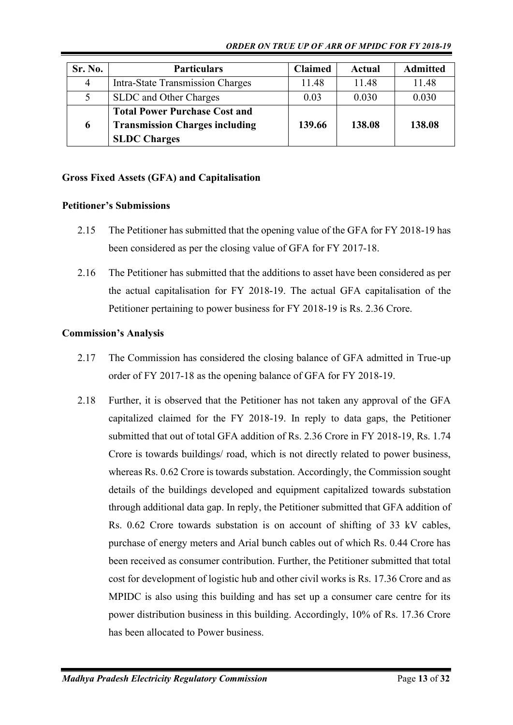*ORDER ON TRUE UP OF ARR OF MPIDC FOR FY 2018-19*

| Sr. No. | <b>Particulars</b>                                                                                   | <b>Claimed</b> | Actual | <b>Admitted</b> |
|---------|------------------------------------------------------------------------------------------------------|----------------|--------|-----------------|
| 4       | <b>Intra-State Transmission Charges</b>                                                              | 11.48          | 11.48  | 11.48           |
|         | SLDC and Other Charges                                                                               | 0.03           | 0.030  | 0.030           |
| 6       | <b>Total Power Purchase Cost and</b><br><b>Transmission Charges including</b><br><b>SLDC</b> Charges | 139.66         | 138.08 | 138.08          |

## **Gross Fixed Assets (GFA) and Capitalisation**

## **Petitioner's Submissions**

- 2.15 The Petitioner has submitted that the opening value of the GFA for FY 2018-19 has been considered as per the closing value of GFA for FY 2017-18.
- 2.16 The Petitioner has submitted that the additions to asset have been considered as per the actual capitalisation for FY 2018-19. The actual GFA capitalisation of the Petitioner pertaining to power business for FY 2018-19 is Rs. 2.36 Crore.

## **Commission's Analysis**

- 2.17 The Commission has considered the closing balance of GFA admitted in True-up order of FY 2017-18 as the opening balance of GFA for FY 2018-19.
- 2.18 Further, it is observed that the Petitioner has not taken any approval of the GFA capitalized claimed for the FY 2018-19. In reply to data gaps, the Petitioner submitted that out of total GFA addition of Rs. 2.36 Crore in FY 2018-19, Rs. 1.74 Crore is towards buildings/ road, which is not directly related to power business, whereas Rs. 0.62 Crore is towards substation. Accordingly, the Commission sought details of the buildings developed and equipment capitalized towards substation through additional data gap. In reply, the Petitioner submitted that GFA addition of Rs. 0.62 Crore towards substation is on account of shifting of 33 kV cables, purchase of energy meters and Arial bunch cables out of which Rs. 0.44 Crore has been received as consumer contribution. Further, the Petitioner submitted that total cost for development of logistic hub and other civil works is Rs. 17.36 Crore and as MPIDC is also using this building and has set up a consumer care centre for its power distribution business in this building. Accordingly, 10% of Rs. 17.36 Crore has been allocated to Power business.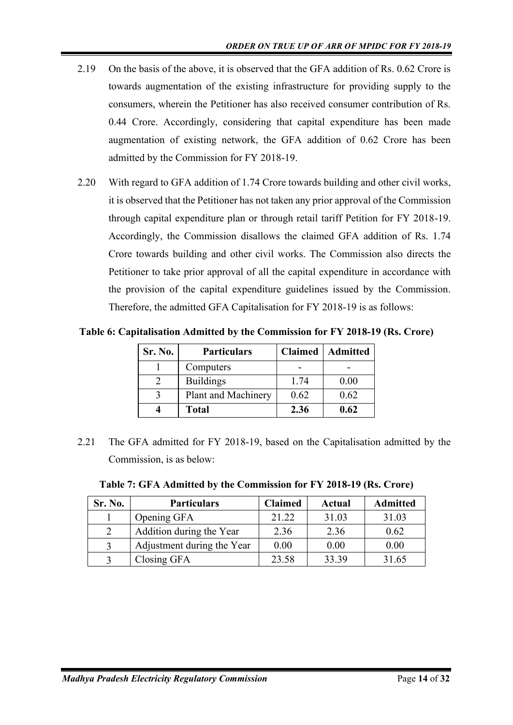- 2.19 On the basis of the above, it is observed that the GFA addition of Rs. 0.62 Crore is towards augmentation of the existing infrastructure for providing supply to the consumers, wherein the Petitioner has also received consumer contribution of Rs. 0.44 Crore. Accordingly, considering that capital expenditure has been made augmentation of existing network, the GFA addition of 0.62 Crore has been admitted by the Commission for FY 2018-19.
- 2.20 With regard to GFA addition of 1.74 Crore towards building and other civil works, it is observed that the Petitioner has not taken any prior approval of the Commission through capital expenditure plan or through retail tariff Petition for FY 2018-19. Accordingly, the Commission disallows the claimed GFA addition of Rs. 1.74 Crore towards building and other civil works. The Commission also directs the Petitioner to take prior approval of all the capital expenditure in accordance with the provision of the capital expenditure guidelines issued by the Commission. Therefore, the admitted GFA Capitalisation for FY 2018-19 is as follows:

**Table 6: Capitalisation Admitted by the Commission for FY 2018-19 (Rs. Crore)**

| Sr. No. | <b>Particulars</b>  | <b>Claimed</b> | Admitted |  |
|---------|---------------------|----------------|----------|--|
|         | Computers           |                |          |  |
|         | <b>Buildings</b>    | 1.74           | 0.00     |  |
|         | Plant and Machinery | 0.62           | 0.62     |  |
|         | <b>Total</b>        | 2.36           | 0.62     |  |

2.21 The GFA admitted for FY 2018-19, based on the Capitalisation admitted by the Commission, is as below:

|  |  | Table 7: GFA Admitted by the Commission for FY 2018-19 (Rs. Crore) |  |  |
|--|--|--------------------------------------------------------------------|--|--|
|  |  |                                                                    |  |  |

| Sr. No.       | <b>Particulars</b>         | <b>Claimed</b> | Actual | <b>Admitted</b> |
|---------------|----------------------------|----------------|--------|-----------------|
|               | Opening GFA                | 21.22          | 31.03  | 31.03           |
| $\mathcal{D}$ | Addition during the Year   | 2.36           | 2.36   | 0.62            |
| 3             | Adjustment during the Year | 0.00           | 0.00   | 0.00            |
|               | Closing GFA                | 23.58          | 33.39  | 31.65           |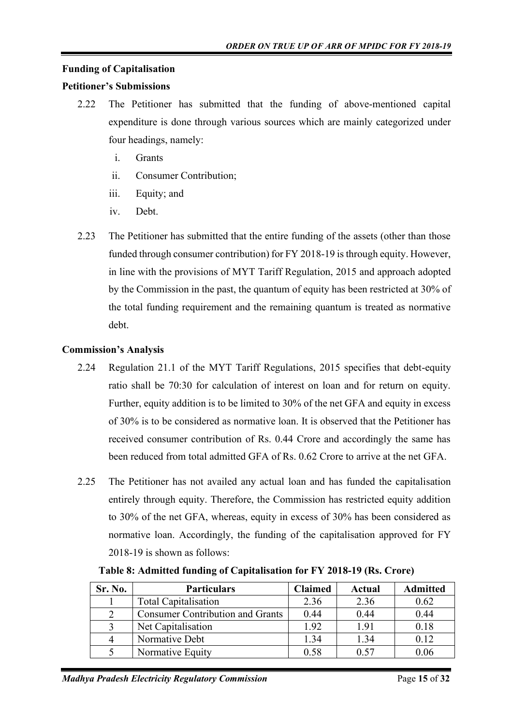## **Funding of Capitalisation**

#### **Petitioner's Submissions**

- 2.22 The Petitioner has submitted that the funding of above-mentioned capital expenditure is done through various sources which are mainly categorized under four headings, namely:
	- i. Grants
	- ii. Consumer Contribution;
	- iii. Equity; and
	- iv. Debt.
- 2.23 The Petitioner has submitted that the entire funding of the assets (other than those funded through consumer contribution) for FY 2018-19 is through equity. However, in line with the provisions of MYT Tariff Regulation, 2015 and approach adopted by the Commission in the past, the quantum of equity has been restricted at 30% of the total funding requirement and the remaining quantum is treated as normative debt.

## **Commission's Analysis**

- 2.24 Regulation 21.1 of the MYT Tariff Regulations, 2015 specifies that debt-equity ratio shall be 70:30 for calculation of interest on loan and for return on equity. Further, equity addition is to be limited to 30% of the net GFA and equity in excess of 30% is to be considered as normative loan. It is observed that the Petitioner has received consumer contribution of Rs. 0.44 Crore and accordingly the same has been reduced from total admitted GFA of Rs. 0.62 Crore to arrive at the net GFA.
- 2.25 The Petitioner has not availed any actual loan and has funded the capitalisation entirely through equity. Therefore, the Commission has restricted equity addition to 30% of the net GFA, whereas, equity in excess of 30% has been considered as normative loan. Accordingly, the funding of the capitalisation approved for FY 2018-19 is shown as follows:

| Sr. No.       | <b>Particulars</b>                      | <b>Claimed</b> | Actual | <b>Admitted</b> |
|---------------|-----------------------------------------|----------------|--------|-----------------|
|               | <b>Total Capitalisation</b>             | 2.36           | 2.36   | 0.62            |
| $\mathcal{D}$ | <b>Consumer Contribution and Grants</b> | 0.44           | 0.44   | 0.44            |
|               | Net Capitalisation                      | 1.92           | 1.91   | 0.18            |
|               | Normative Debt                          | 1.34           | 1.34   | 0.12            |
|               | Normative Equity                        | 0.58           | 0.57   | 0.06            |

**Table 8: Admitted funding of Capitalisation for FY 2018-19 (Rs. Crore)**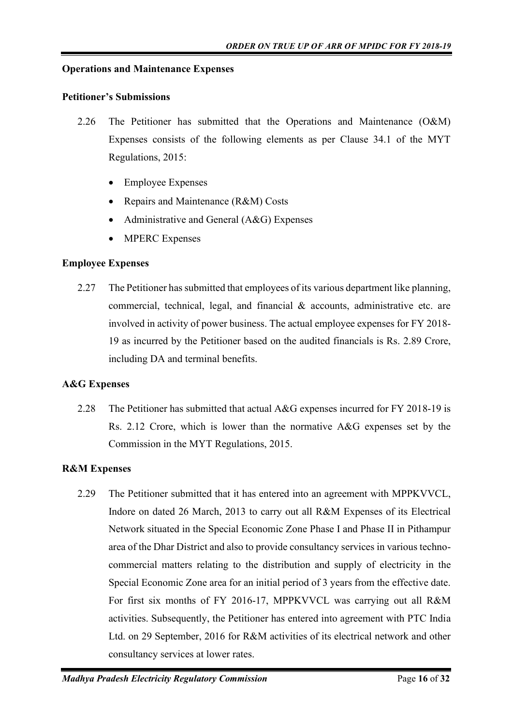#### **Operations and Maintenance Expenses**

#### **Petitioner's Submissions**

- 2.26 The Petitioner has submitted that the Operations and Maintenance (O&M) Expenses consists of the following elements as per Clause 34.1 of the MYT Regulations, 2015:
	- Employee Expenses
	- Repairs and Maintenance (R&M) Costs
	- Administrative and General (A&G) Expenses
	- **MPERC Expenses**

#### **Employee Expenses**

2.27 The Petitioner has submitted that employees of its various department like planning, commercial, technical, legal, and financial & accounts, administrative etc. are involved in activity of power business. The actual employee expenses for FY 2018- 19 as incurred by the Petitioner based on the audited financials is Rs. 2.89 Crore, including DA and terminal benefits.

#### **A&G Expenses**

2.28 The Petitioner has submitted that actual A&G expenses incurred for FY 2018-19 is Rs. 2.12 Crore, which is lower than the normative A&G expenses set by the Commission in the MYT Regulations, 2015.

#### **R&M Expenses**

2.29 The Petitioner submitted that it has entered into an agreement with MPPKVVCL, Indore on dated 26 March, 2013 to carry out all R&M Expenses of its Electrical Network situated in the Special Economic Zone Phase I and Phase II in Pithampur area of the Dhar District and also to provide consultancy services in various technocommercial matters relating to the distribution and supply of electricity in the Special Economic Zone area for an initial period of 3 years from the effective date. For first six months of FY 2016-17, MPPKVVCL was carrying out all R&M activities. Subsequently, the Petitioner has entered into agreement with PTC India Ltd. on 29 September, 2016 for R&M activities of its electrical network and other consultancy services at lower rates.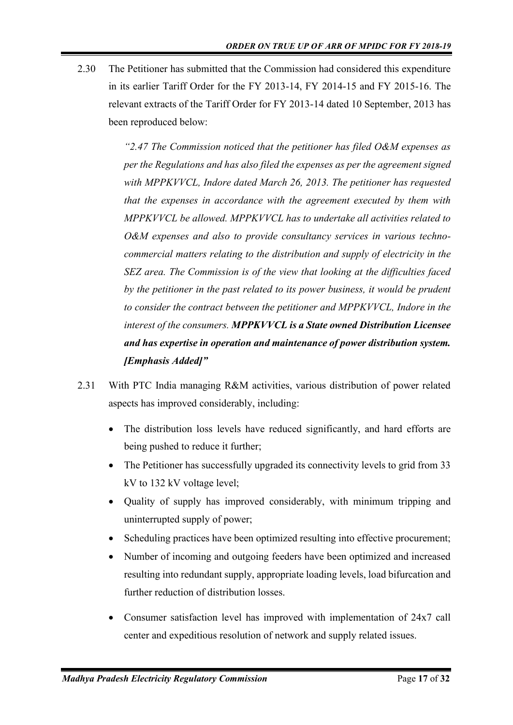2.30 The Petitioner has submitted that the Commission had considered this expenditure in its earlier Tariff Order for the FY 2013-14, FY 2014-15 and FY 2015-16. The relevant extracts of the Tariff Order for FY 2013-14 dated 10 September, 2013 has been reproduced below:

> *"2.47 The Commission noticed that the petitioner has filed O&M expenses as per the Regulations and has also filed the expenses as per the agreement signed with MPPKVVCL, Indore dated March 26, 2013. The petitioner has requested that the expenses in accordance with the agreement executed by them with MPPKVVCL be allowed. MPPKVVCL has to undertake all activities related to O&M expenses and also to provide consultancy services in various technocommercial matters relating to the distribution and supply of electricity in the SEZ area. The Commission is of the view that looking at the difficulties faced by the petitioner in the past related to its power business, it would be prudent to consider the contract between the petitioner and MPPKVVCL, Indore in the interest of the consumers. MPPKVVCL is a State owned Distribution Licensee and has expertise in operation and maintenance of power distribution system. [Emphasis Added]"*

- 2.31 With PTC India managing R&M activities, various distribution of power related aspects has improved considerably, including:
	- The distribution loss levels have reduced significantly, and hard efforts are being pushed to reduce it further;
	- The Petitioner has successfully upgraded its connectivity levels to grid from 33 kV to 132 kV voltage level;
	- Quality of supply has improved considerably, with minimum tripping and uninterrupted supply of power;
	- Scheduling practices have been optimized resulting into effective procurement;
	- Number of incoming and outgoing feeders have been optimized and increased resulting into redundant supply, appropriate loading levels, load bifurcation and further reduction of distribution losses.
	- Consumer satisfaction level has improved with implementation of 24x7 call center and expeditious resolution of network and supply related issues.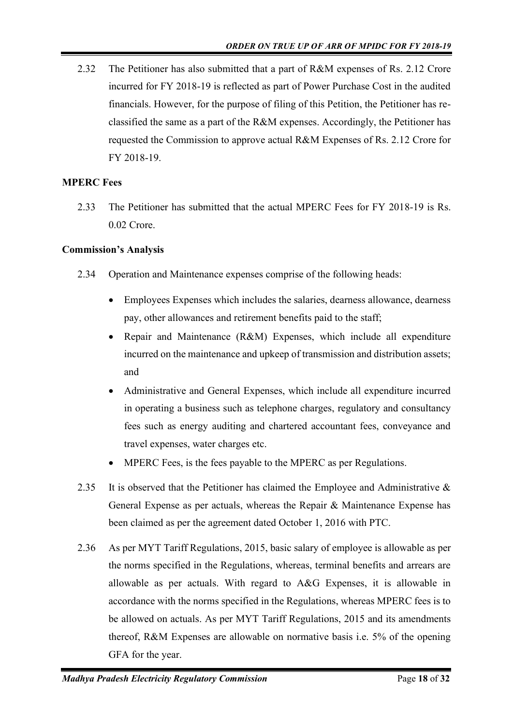2.32 The Petitioner has also submitted that a part of R&M expenses of Rs. 2.12 Crore incurred for FY 2018-19 is reflected as part of Power Purchase Cost in the audited financials. However, for the purpose of filing of this Petition, the Petitioner has reclassified the same as a part of the R&M expenses. Accordingly, the Petitioner has requested the Commission to approve actual R&M Expenses of Rs. 2.12 Crore for FY 2018-19.

## **MPERC Fees**

2.33 The Petitioner has submitted that the actual MPERC Fees for FY 2018-19 is Rs. 0.02 Crore.

## **Commission's Analysis**

- 2.34 Operation and Maintenance expenses comprise of the following heads:
	- Employees Expenses which includes the salaries, dearness allowance, dearness pay, other allowances and retirement benefits paid to the staff;
	- Repair and Maintenance (R&M) Expenses, which include all expenditure incurred on the maintenance and upkeep of transmission and distribution assets; and
	- Administrative and General Expenses, which include all expenditure incurred in operating a business such as telephone charges, regulatory and consultancy fees such as energy auditing and chartered accountant fees, conveyance and travel expenses, water charges etc.
	- MPERC Fees, is the fees payable to the MPERC as per Regulations.
- 2.35 It is observed that the Petitioner has claimed the Employee and Administrative & General Expense as per actuals, whereas the Repair & Maintenance Expense has been claimed as per the agreement dated October 1, 2016 with PTC.
- 2.36 As per MYT Tariff Regulations, 2015, basic salary of employee is allowable as per the norms specified in the Regulations, whereas, terminal benefits and arrears are allowable as per actuals. With regard to A&G Expenses, it is allowable in accordance with the norms specified in the Regulations, whereas MPERC fees is to be allowed on actuals. As per MYT Tariff Regulations, 2015 and its amendments thereof, R&M Expenses are allowable on normative basis i.e. 5% of the opening GFA for the year.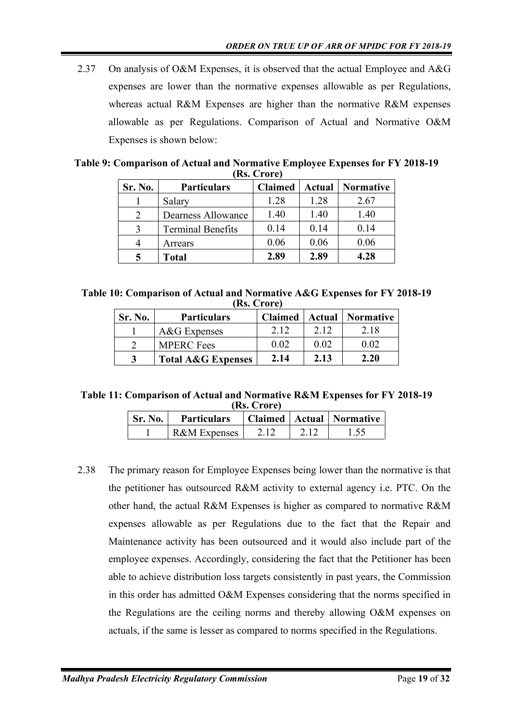2.37 On analysis of O&M Expenses, it is observed that the actual Employee and A&G expenses are lower than the normative expenses allowable as per Regulations, whereas actual R&M Expenses are higher than the normative R&M expenses allowable as per Regulations. Comparison of Actual and Normative O&M Expenses is shown below:

| Table 9: Comparison of Actual and Normative Employee Expenses for FY 2018-19 |             |  |  |
|------------------------------------------------------------------------------|-------------|--|--|
|                                                                              | (Rs. Crore) |  |  |

| Sr. No. | <b>Particulars</b>       | <b>Claimed</b> |      | <b>Actual   Normative</b> |
|---------|--------------------------|----------------|------|---------------------------|
|         | Salary                   | 1.28           | 1.28 | 2.67                      |
|         | Dearness Allowance       | 1.40           | 1.40 | 1.40                      |
|         | <b>Terminal Benefits</b> | 0.14           | 0.14 | 0.14                      |
|         | Arrears                  | 0.06           | 0.06 | 0.06                      |
|         | <b>Total</b>             | 2.89           | 2.89 | 4.28                      |

**Table 10: Comparison of Actual and Normative A&G Expenses for FY 2018-19 (Rs. Crore)**

| Sr. No. | <b>Particulars</b>            | <b>Claimed</b> |      | <b>Actual</b>   Normative |
|---------|-------------------------------|----------------|------|---------------------------|
|         | A&G Expenses                  | 2.12           | 2.12 | 2.18                      |
|         | <b>MPERC</b> Fees             | 0.02           | 0.02 | 0.02                      |
|         | <b>Total A&amp;G Expenses</b> | 2.14           | 2.13 | 2.20                      |

**Table 11: Comparison of Actual and Normative R&M Expenses for FY 2018-19 (Rs. Crore)**

| Sr. No. | <b>Particulars</b>      |  | Claimed   Actual   Normative |
|---------|-------------------------|--|------------------------------|
|         | <b>R&amp;M</b> Expenses |  |                              |

2.38 The primary reason for Employee Expenses being lower than the normative is that the petitioner has outsourced R&M activity to external agency i.e. PTC. On the other hand, the actual R&M Expenses is higher as compared to normative R&M expenses allowable as per Regulations due to the fact that the Repair and Maintenance activity has been outsourced and it would also include part of the employee expenses. Accordingly, considering the fact that the Petitioner has been able to achieve distribution loss targets consistently in past years, the Commission in this order has admitted O&M Expenses considering that the norms specified in the Regulations are the ceiling norms and thereby allowing O&M expenses on actuals, if the same is lesser as compared to norms specified in the Regulations.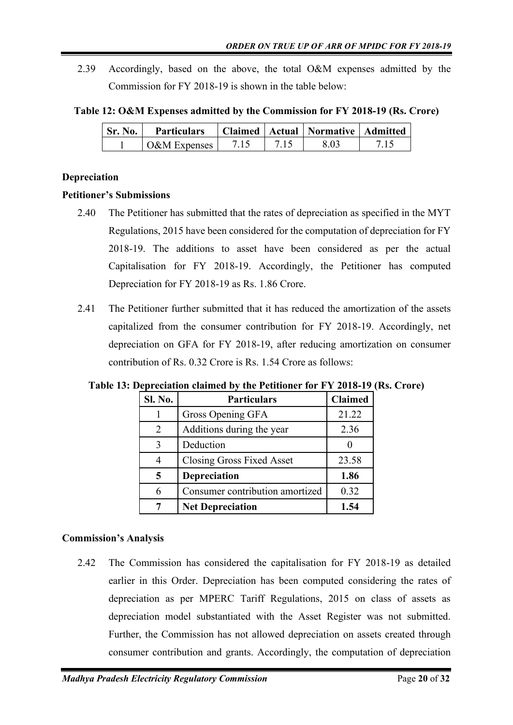2.39 Accordingly, based on the above, the total O&M expenses admitted by the Commission for FY 2018-19 is shown in the table below:

**Table 12: O&M Expenses admitted by the Commission for FY 2018-19 (Rs. Crore)**

| Sr. No. | <b>Particulars</b> |  | Claimed   Actual   Normative   Admitted |  |
|---------|--------------------|--|-----------------------------------------|--|
|         | O&M Expenses       |  | 8.03                                    |  |

#### **Depreciation**

#### **Petitioner's Submissions**

- 2.40 The Petitioner has submitted that the rates of depreciation as specified in the MYT Regulations, 2015 have been considered for the computation of depreciation for FY 2018-19. The additions to asset have been considered as per the actual Capitalisation for FY 2018-19. Accordingly, the Petitioner has computed Depreciation for FY 2018-19 as Rs. 1.86 Crore.
- 2.41 The Petitioner further submitted that it has reduced the amortization of the assets capitalized from the consumer contribution for FY 2018-19. Accordingly, net depreciation on GFA for FY 2018-19, after reducing amortization on consumer contribution of Rs. 0.32 Crore is Rs. 1.54 Crore as follows:

| Sl. No. | <b>Particulars</b>              | <b>Claimed</b> |
|---------|---------------------------------|----------------|
|         | Gross Opening GFA               | 21.22          |
| 2       | Additions during the year       | 2.36           |
| 3       | Deduction                       |                |
| 4       | Closing Gross Fixed Asset       | 23.58          |
| 5       | <b>Depreciation</b>             | 1.86           |
| 6       | Consumer contribution amortized | 0.32           |
| 7       | <b>Net Depreciation</b>         | 1.54           |

**Table 13: Depreciation claimed by the Petitioner for FY 2018-19 (Rs. Crore)**

## **Commission's Analysis**

2.42 The Commission has considered the capitalisation for FY 2018-19 as detailed earlier in this Order. Depreciation has been computed considering the rates of depreciation as per MPERC Tariff Regulations, 2015 on class of assets as depreciation model substantiated with the Asset Register was not submitted. Further, the Commission has not allowed depreciation on assets created through consumer contribution and grants. Accordingly, the computation of depreciation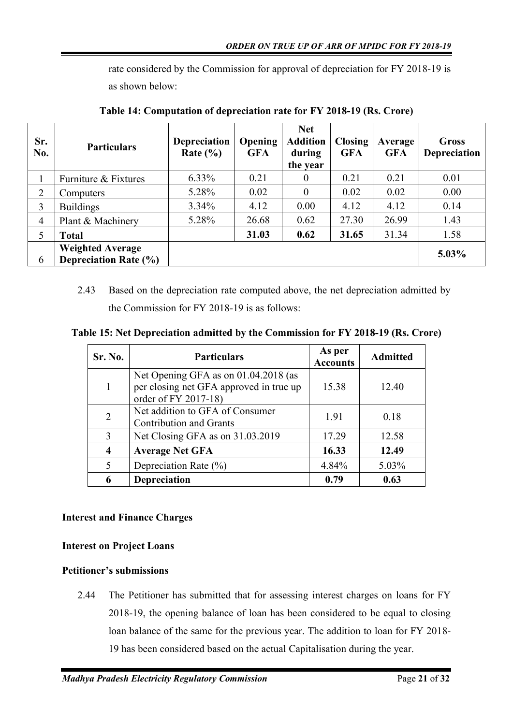rate considered by the Commission for approval of depreciation for FY 2018-19 is as shown below:

| Sr.<br>No.     | <b>Particulars</b>                                      | <b>Depreciation</b><br>Rate $(\% )$ | <b>Opening</b><br><b>GFA</b> | <b>Net</b><br><b>Addition</b><br>during<br>the year | <b>Closing</b><br><b>GFA</b> | Average<br><b>GFA</b> | <b>Gross</b><br><b>Depreciation</b> |
|----------------|---------------------------------------------------------|-------------------------------------|------------------------------|-----------------------------------------------------|------------------------------|-----------------------|-------------------------------------|
|                | Furniture & Fixtures                                    | $6.33\%$                            | 0.21                         | $\theta$                                            | 0.21                         | 0.21                  | 0.01                                |
| 2              | Computers                                               | 5.28%                               | 0.02                         | $\Omega$                                            | 0.02                         | 0.02                  | 0.00                                |
| 3              | <b>Buildings</b>                                        | $3.34\%$                            | 4.12                         | 0.00                                                | 4.12                         | 4.12                  | 0.14                                |
| $\overline{4}$ | Plant & Machinery                                       | 5.28%                               | 26.68                        | 0.62                                                | 27.30                        | 26.99                 | 1.43                                |
| 5              | <b>Total</b>                                            |                                     | 31.03                        | 0.62                                                | 31.65                        | 31.34                 | 1.58                                |
| 6              | <b>Weighted Average</b><br><b>Depreciation Rate (%)</b> |                                     |                              |                                                     |                              |                       | 5.03%                               |

**Table 14: Computation of depreciation rate for FY 2018-19 (Rs. Crore)**

2.43 Based on the depreciation rate computed above, the net depreciation admitted by the Commission for FY 2018-19 is as follows:

**Table 15: Net Depreciation admitted by the Commission for FY 2018-19 (Rs. Crore)**

| Sr. No.        | <b>Particulars</b>                                                                                      | As per<br><b>Accounts</b> | <b>Admitted</b> |
|----------------|---------------------------------------------------------------------------------------------------------|---------------------------|-----------------|
| 1              | Net Opening GFA as on 01.04.2018 (as<br>per closing net GFA approved in true up<br>order of FY 2017-18) | 15.38                     | 12.40           |
| $\overline{2}$ | Net addition to GFA of Consumer<br><b>Contribution and Grants</b>                                       | 1.91                      | 0.18            |
| 3              | Net Closing GFA as on 31.03.2019                                                                        | 17.29                     | 12.58           |
| 4              | <b>Average Net GFA</b>                                                                                  | 16.33                     | 12.49           |
| 5              | Depreciation Rate $(\%)$                                                                                | 4.84%                     | 5.03%           |
| 6              | <b>Depreciation</b>                                                                                     | 0.79                      | 0.63            |

## **Interest and Finance Charges**

## **Interest on Project Loans**

## **Petitioner's submissions**

2.44 The Petitioner has submitted that for assessing interest charges on loans for FY 2018-19, the opening balance of loan has been considered to be equal to closing loan balance of the same for the previous year. The addition to loan for FY 2018- 19 has been considered based on the actual Capitalisation during the year.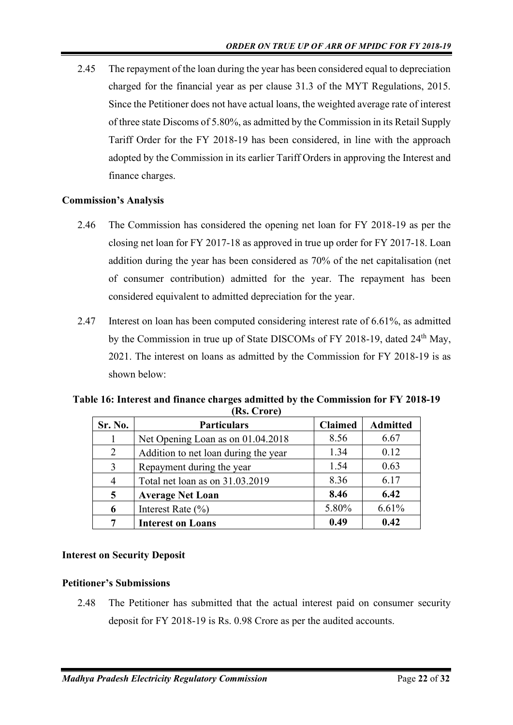2.45 The repayment of the loan during the year has been considered equal to depreciation charged for the financial year as per clause 31.3 of the MYT Regulations, 2015. Since the Petitioner does not have actual loans, the weighted average rate of interest of three state Discoms of 5.80%, as admitted by the Commission in its Retail Supply Tariff Order for the FY 2018-19 has been considered, in line with the approach adopted by the Commission in its earlier Tariff Orders in approving the Interest and finance charges.

## **Commission's Analysis**

- 2.46 The Commission has considered the opening net loan for FY 2018-19 as per the closing net loan for FY 2017-18 as approved in true up order for FY 2017-18. Loan addition during the year has been considered as 70% of the net capitalisation (net of consumer contribution) admitted for the year. The repayment has been considered equivalent to admitted depreciation for the year.
- 2.47 Interest on loan has been computed considering interest rate of 6.61%, as admitted by the Commission in true up of State DISCOMs of FY 2018-19, dated 24<sup>th</sup> May, 2021. The interest on loans as admitted by the Commission for FY 2018-19 is as shown below:

| Sr. No.        | <b>Particulars</b>                   | <b>Claimed</b> | <b>Admitted</b> |  |  |
|----------------|--------------------------------------|----------------|-----------------|--|--|
|                | Net Opening Loan as on 01.04.2018    | 8.56           | 6.67            |  |  |
| 2              | Addition to net loan during the year | 1.34           | 0.12            |  |  |
| $\mathcal{E}$  | Repayment during the year            | 1.54           | 0.63            |  |  |
| $\overline{4}$ | Total net loan as on 31.03.2019      | 8.36           | 6.17            |  |  |
| 5              | <b>Average Net Loan</b>              | 8.46           | 6.42            |  |  |
| 6              | Interest Rate $(\% )$                | 5.80%          | 6.61%           |  |  |
|                | <b>Interest on Loans</b>             | 0.49           | 0.42            |  |  |

**Table 16: Interest and finance charges admitted by the Commission for FY 2018-19 (Rs. Crore)**

## **Interest on Security Deposit**

## **Petitioner's Submissions**

2.48 The Petitioner has submitted that the actual interest paid on consumer security deposit for FY 2018-19 is Rs. 0.98 Crore as per the audited accounts.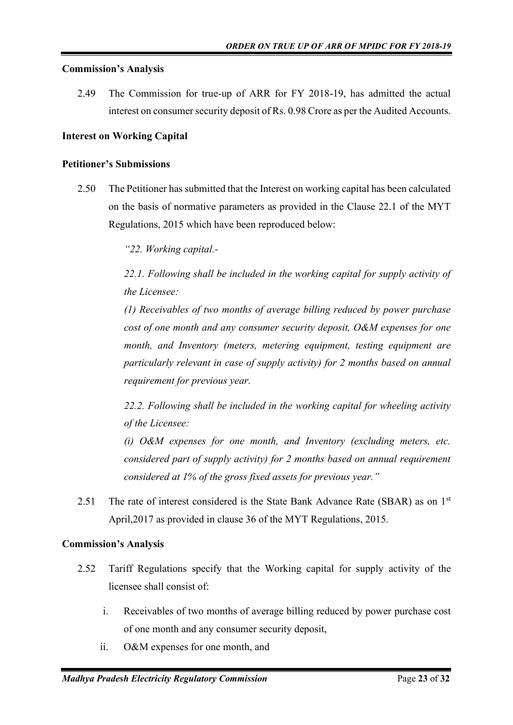#### **Commission's Analysis**

2.49 The Commission for true-up of ARR for FY 2018-19, has admitted the actual interest on consumer security deposit of Rs. 0.98 Crore as per the Audited Accounts.

#### **Interest on Working Capital**

#### **Petitioner's Submissions**

2.50 The Petitioner has submitted that the Interest on working capital has been calculated on the basis of normative parameters as provided in the Clause 22.1 of the MYT Regulations, 2015 which have been reproduced below:

*"22. Working capital.-*

*22.1. Following shall be included in the working capital for supply activity of the Licensee:*

*(1) Receivables of two months of average billing reduced by power purchase cost of one month and any consumer security deposit, O&M expenses for one month, and Inventory (meters, metering equipment, testing equipment are particularly relevant in case of supply activity) for 2 months based on annual requirement for previous year.*

*22.2. Following shall be included in the working capital for wheeling activity of the Licensee:*

*(i) O&M expenses for one month, and Inventory (excluding meters, etc. considered part of supply activity) for 2 months based on annual requirement considered at 1% of the gross fixed assets for previous year."*

2.51 The rate of interest considered is the State Bank Advance Rate (SBAR) as on  $1<sup>st</sup>$ April,2017 as provided in clause 36 of the MYT Regulations, 2015.

#### **Commission's Analysis**

- 2.52 Tariff Regulations specify that the Working capital for supply activity of the licensee shall consist of:
	- i. Receivables of two months of average billing reduced by power purchase cost of one month and any consumer security deposit,
	- ii. O&M expenses for one month, and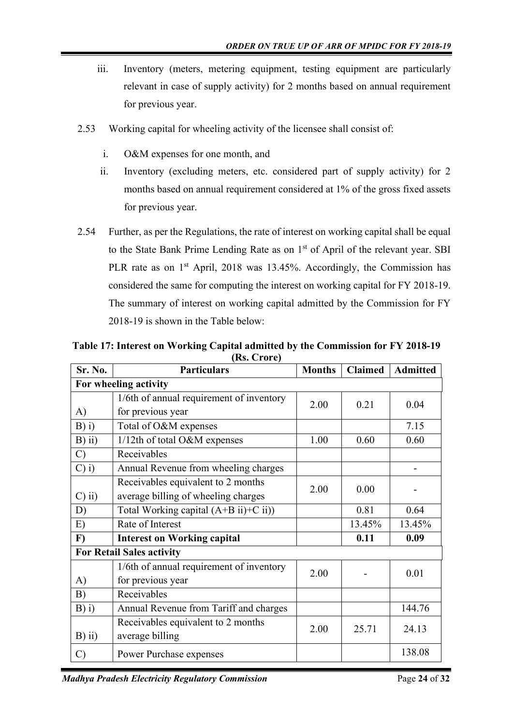- iii. Inventory (meters, metering equipment, testing equipment are particularly relevant in case of supply activity) for 2 months based on annual requirement for previous year.
- 2.53 Working capital for wheeling activity of the licensee shall consist of:
	- i. O&M expenses for one month, and
	- ii. Inventory (excluding meters, etc. considered part of supply activity) for 2 months based on annual requirement considered at 1% of the gross fixed assets for previous year.
- 2.54 Further, as per the Regulations, the rate of interest on working capital shall be equal to the State Bank Prime Lending Rate as on 1<sup>st</sup> of April of the relevant year. SBI PLR rate as on  $1<sup>st</sup>$  April, 2018 was 13.45%. Accordingly, the Commission has considered the same for computing the interest on working capital for FY 2018-19. The summary of interest on working capital admitted by the Commission for FY 2018-19 is shown in the Table below:

| Sr. No.       | <b>Particulars</b>                       | <b>Months</b> | <b>Claimed</b> | <b>Admitted</b> |  |  |
|---------------|------------------------------------------|---------------|----------------|-----------------|--|--|
|               | For wheeling activity                    |               |                |                 |  |  |
|               | 1/6th of annual requirement of inventory | 2.00          | 0.21           | 0.04            |  |  |
| A)            | for previous year                        |               |                |                 |  |  |
| $B)$ i)       | Total of O&M expenses                    |               |                | 7.15            |  |  |
| $B)$ ii)      | 1/12th of total O&M expenses             | 1.00          | 0.60           | 0.60            |  |  |
| $\mathcal{C}$ | Receivables                              |               |                |                 |  |  |
| $C)$ i)       | Annual Revenue from wheeling charges     |               |                |                 |  |  |
|               | Receivables equivalent to 2 months       | 2.00          | 0.00           |                 |  |  |
| $C)$ ii)      | average billing of wheeling charges      |               |                |                 |  |  |
| D)            | Total Working capital $(A+B ii)+C ii)$   |               | 0.81           | 0.64            |  |  |
| E)            | Rate of Interest                         |               | 13.45%         | 13.45%          |  |  |
| $\bf{F}$      | <b>Interest on Working capital</b>       |               | 0.11           | 0.09            |  |  |
|               | <b>For Retail Sales activity</b>         |               |                |                 |  |  |
|               | 1/6th of annual requirement of inventory | 2.00          |                |                 |  |  |
| A)            | for previous year                        |               |                | 0.01            |  |  |
| B)            | Receivables                              |               |                |                 |  |  |
| B(i)          | Annual Revenue from Tariff and charges   |               |                | 144.76          |  |  |
|               | Receivables equivalent to 2 months       | 2.00          | 25.71          | 24.13           |  |  |
| $B)$ ii)      | average billing                          |               |                |                 |  |  |
| $\mathcal{C}$ | Power Purchase expenses                  |               |                | 138.08          |  |  |

**Table 17: Interest on Working Capital admitted by the Commission for FY 2018-19 (Rs. Crore)**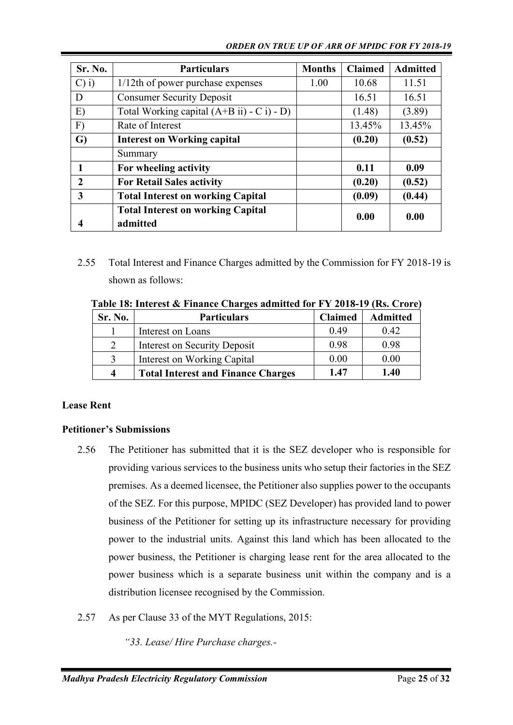#### *ORDER ON TRUE UP OF ARR OF MPIDC FOR FY 2018-19*

| Sr. No.  | <b>Particulars</b>                                   | <b>Months</b> | <b>Claimed</b> | <b>Admitted</b> |
|----------|------------------------------------------------------|---------------|----------------|-----------------|
| $C$ ) i) | 1/12th of power purchase expenses                    | 1.00          | 10.68          | 11.51           |
| D        | <b>Consumer Security Deposit</b>                     |               | 16.51          | 16.51           |
| E)       | Total Working capital $(A+B ii) - C i$ ) - D)        |               | (1.48)         | (3.89)          |
| F)       | Rate of Interest                                     |               | 13.45%         | 13.45%          |
| G)       | <b>Interest on Working capital</b>                   |               | (0.20)         | (0.52)          |
|          | Summary                                              |               |                |                 |
|          | For wheeling activity                                |               | 0.11           | 0.09            |
| 2        | <b>For Retail Sales activity</b>                     |               | (0.20)         | (0.52)          |
| 3        | <b>Total Interest on working Capital</b>             |               | (0.09)         | (0.44)          |
|          | <b>Total Interest on working Capital</b><br>admitted |               | 0.00           | 0.00            |

2.55 Total Interest and Finance Charges admitted by the Commission for FY 2018-19 is shown as follows:

| Sr. No.        | <b>Particulars</b>                        | <b>Claimed</b> | <b>Admitted</b> |
|----------------|-------------------------------------------|----------------|-----------------|
|                | Interest on Loans                         | 0.49           | 0.42            |
| $\overline{2}$ | Interest on Security Deposit              | 0.98           | 0.98            |
| 3              | Interest on Working Capital               | 0.00           | 0.00            |
| 4              | <b>Total Interest and Finance Charges</b> | 1.47           | 1.40            |

**Table 18: Interest & Finance Charges admitted for FY 2018-19 (Rs. Crore)**

## **Lease Rent**

## **Petitioner's Submissions**

- 2.56 The Petitioner has submitted that it is the SEZ developer who is responsible for providing various services to the business units who setup their factories in the SEZ premises. As a deemed licensee, the Petitioner also supplies power to the occupants of the SEZ. For this purpose, MPIDC (SEZ Developer) has provided land to power business of the Petitioner for setting up its infrastructure necessary for providing power to the industrial units. Against this land which has been allocated to the power business, the Petitioner is charging lease rent for the area allocated to the power business which is a separate business unit within the company and is a distribution licensee recognised by the Commission.
- 2.57 As per Clause 33 of the MYT Regulations, 2015:
	- *"33. Lease/ Hire Purchase charges.-*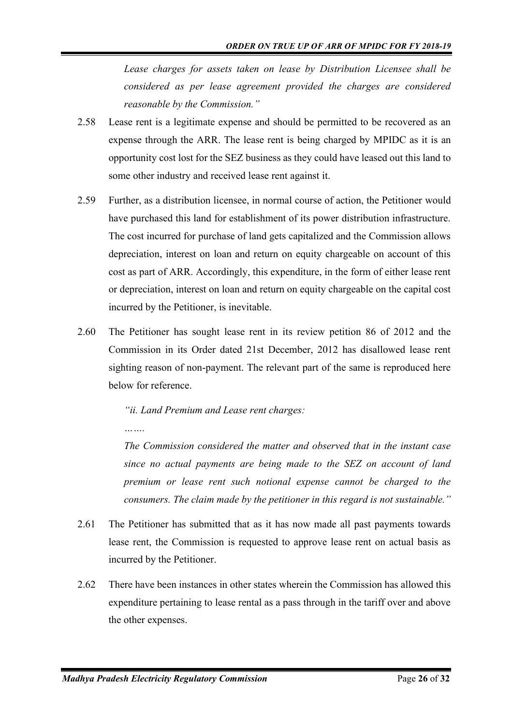*Lease charges for assets taken on lease by Distribution Licensee shall be considered as per lease agreement provided the charges are considered reasonable by the Commission."*

- 2.58 Lease rent is a legitimate expense and should be permitted to be recovered as an expense through the ARR. The lease rent is being charged by MPIDC as it is an opportunity cost lost for the SEZ business as they could have leased out this land to some other industry and received lease rent against it.
- 2.59 Further, as a distribution licensee, in normal course of action, the Petitioner would have purchased this land for establishment of its power distribution infrastructure. The cost incurred for purchase of land gets capitalized and the Commission allows depreciation, interest on loan and return on equity chargeable on account of this cost as part of ARR. Accordingly, this expenditure, in the form of either lease rent or depreciation, interest on loan and return on equity chargeable on the capital cost incurred by the Petitioner, is inevitable.
- 2.60 The Petitioner has sought lease rent in its review petition 86 of 2012 and the Commission in its Order dated 21st December, 2012 has disallowed lease rent sighting reason of non-payment. The relevant part of the same is reproduced here below for reference.

*"ii. Land Premium and Lease rent charges:*

*The Commission considered the matter and observed that in the instant case since no actual payments are being made to the SEZ on account of land premium or lease rent such notional expense cannot be charged to the consumers. The claim made by the petitioner in this regard is not sustainable."*

- 2.61 The Petitioner has submitted that as it has now made all past payments towards lease rent, the Commission is requested to approve lease rent on actual basis as incurred by the Petitioner.
- 2.62 There have been instances in other states wherein the Commission has allowed this expenditure pertaining to lease rental as a pass through in the tariff over and above the other expenses.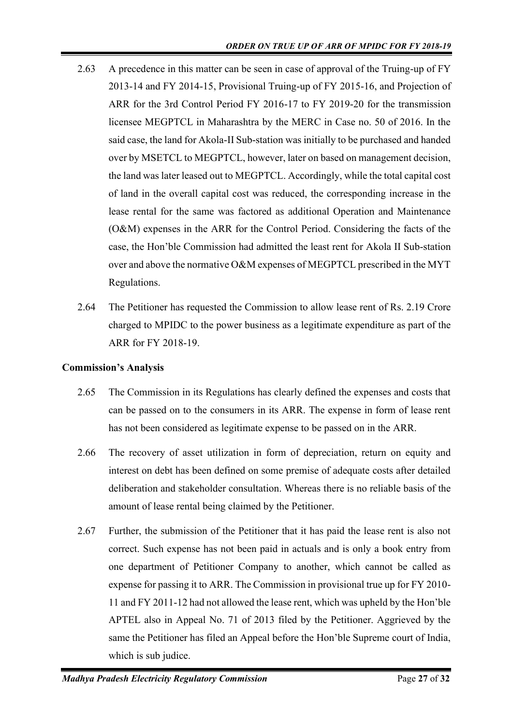- 2.63 A precedence in this matter can be seen in case of approval of the Truing-up of FY 2013-14 and FY 2014-15, Provisional Truing-up of FY 2015-16, and Projection of ARR for the 3rd Control Period FY 2016-17 to FY 2019-20 for the transmission licensee MEGPTCL in Maharashtra by the MERC in Case no. 50 of 2016. In the said case, the land for Akola-II Sub-station was initially to be purchased and handed over by MSETCL to MEGPTCL, however, later on based on management decision, the land was later leased out to MEGPTCL. Accordingly, while the total capital cost of land in the overall capital cost was reduced, the corresponding increase in the lease rental for the same was factored as additional Operation and Maintenance (O&M) expenses in the ARR for the Control Period. Considering the facts of the case, the Hon'ble Commission had admitted the least rent for Akola II Sub-station over and above the normative O&M expenses of MEGPTCL prescribed in the MYT Regulations.
- 2.64 The Petitioner has requested the Commission to allow lease rent of Rs. 2.19 Crore charged to MPIDC to the power business as a legitimate expenditure as part of the ARR for FY 2018-19.

## **Commission's Analysis**

- 2.65 The Commission in its Regulations has clearly defined the expenses and costs that can be passed on to the consumers in its ARR. The expense in form of lease rent has not been considered as legitimate expense to be passed on in the ARR.
- 2.66 The recovery of asset utilization in form of depreciation, return on equity and interest on debt has been defined on some premise of adequate costs after detailed deliberation and stakeholder consultation. Whereas there is no reliable basis of the amount of lease rental being claimed by the Petitioner.
- 2.67 Further, the submission of the Petitioner that it has paid the lease rent is also not correct. Such expense has not been paid in actuals and is only a book entry from one department of Petitioner Company to another, which cannot be called as expense for passing it to ARR. The Commission in provisional true up for FY 2010- 11 and FY 2011-12 had not allowed the lease rent, which was upheld by the Hon'ble APTEL also in Appeal No. 71 of 2013 filed by the Petitioner. Aggrieved by the same the Petitioner has filed an Appeal before the Hon'ble Supreme court of India, which is sub judice.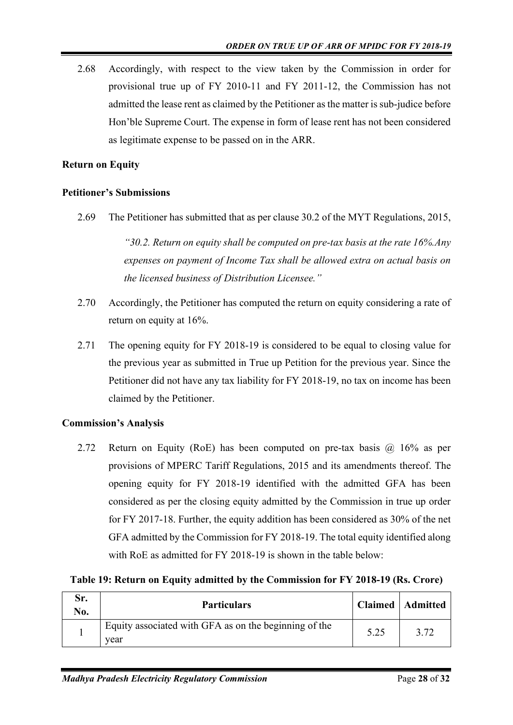2.68 Accordingly, with respect to the view taken by the Commission in order for provisional true up of FY 2010-11 and FY 2011-12, the Commission has not admitted the lease rent as claimed by the Petitioner as the matter is sub-judice before Hon'ble Supreme Court. The expense in form of lease rent has not been considered as legitimate expense to be passed on in the ARR.

## **Return on Equity**

#### **Petitioner's Submissions**

2.69 The Petitioner has submitted that as per clause 30.2 of the MYT Regulations, 2015,

*"30.2. Return on equity shall be computed on pre-tax basis at the rate 16%.Any expenses on payment of Income Tax shall be allowed extra on actual basis on the licensed business of Distribution Licensee."*

- 2.70 Accordingly, the Petitioner has computed the return on equity considering a rate of return on equity at 16%.
- 2.71 The opening equity for FY 2018-19 is considered to be equal to closing value for the previous year as submitted in True up Petition for the previous year. Since the Petitioner did not have any tax liability for FY 2018-19, no tax on income has been claimed by the Petitioner.

## **Commission's Analysis**

2.72 Return on Equity (RoE) has been computed on pre-tax basis @ 16% as per provisions of MPERC Tariff Regulations, 2015 and its amendments thereof. The opening equity for FY 2018-19 identified with the admitted GFA has been considered as per the closing equity admitted by the Commission in true up order for FY 2017-18. Further, the equity addition has been considered as 30% of the net GFA admitted by the Commission for FY 2018-19. The total equity identified along with RoE as admitted for FY 2018-19 is shown in the table below:

|  |  | Table 19: Return on Equity admitted by the Commission for FY 2018-19 (Rs. Crore) |
|--|--|----------------------------------------------------------------------------------|
|  |  |                                                                                  |

| Sr.<br>No. | <b>Particulars</b>                                            |      | <b>Claimed</b>   Admitted |
|------------|---------------------------------------------------------------|------|---------------------------|
|            | Equity associated with GFA as on the beginning of the<br>vear | 5.25 | 3.72                      |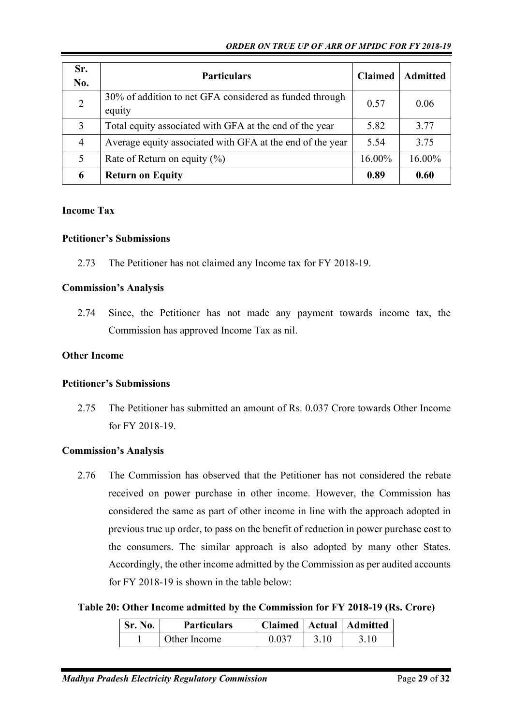#### *ORDER ON TRUE UP OF ARR OF MPIDC FOR FY 2018-19*

| Sr.<br>No.     | <b>Particulars</b>                                                | <b>Claimed</b> | <b>Admitted</b> |
|----------------|-------------------------------------------------------------------|----------------|-----------------|
| 2              | 30% of addition to net GFA considered as funded through<br>equity | 0.57           | 0.06            |
| 3              | Total equity associated with GFA at the end of the year           | 5.82           | 3.77            |
| $\overline{4}$ | Average equity associated with GFA at the end of the year         | 5.54           | 3.75            |
| 5              | Rate of Return on equity $(\%)$                                   | 16.00%         | 16.00%          |
| 6              | <b>Return on Equity</b>                                           | 0.89           | 0.60            |

#### **Income Tax**

#### **Petitioner's Submissions**

2.73 The Petitioner has not claimed any Income tax for FY 2018-19.

#### **Commission's Analysis**

2.74 Since, the Petitioner has not made any payment towards income tax, the Commission has approved Income Tax as nil.

#### **Other Income**

#### **Petitioner's Submissions**

2.75 The Petitioner has submitted an amount of Rs. 0.037 Crore towards Other Income for FY 2018-19.

## **Commission's Analysis**

2.76 The Commission has observed that the Petitioner has not considered the rebate received on power purchase in other income. However, the Commission has considered the same as part of other income in line with the approach adopted in previous true up order, to pass on the benefit of reduction in power purchase cost to the consumers. The similar approach is also adopted by many other States. Accordingly, the other income admitted by the Commission as per audited accounts for FY 2018-19 is shown in the table below:

## **Table 20: Other Income admitted by the Commission for FY 2018-19 (Rs. Crore)**

| $\mathsf{S}_r$ . No. | <b>Particulars</b> |       |      | Claimed   Actual   Admitted |
|----------------------|--------------------|-------|------|-----------------------------|
|                      | Other Income       | 0.037 | 3.10 | 3.10                        |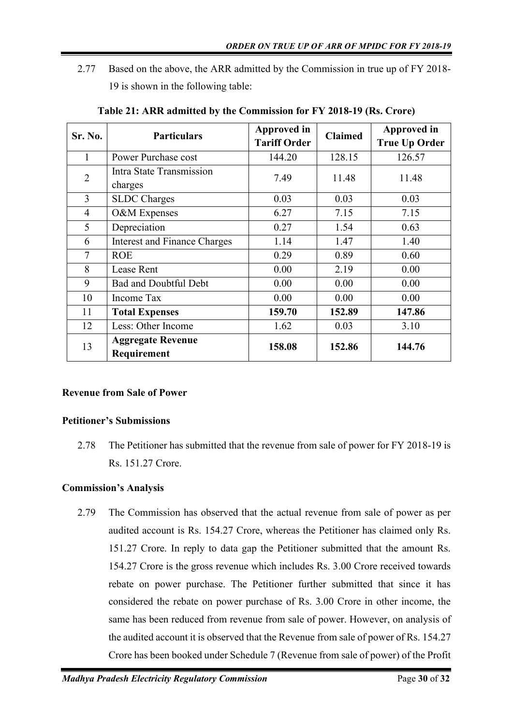2.77 Based on the above, the ARR admitted by the Commission in true up of FY 2018- 19 is shown in the following table:

| Sr. No.        | <b>Particulars</b>                      | Approved in         | <b>Claimed</b> | Approved in          |
|----------------|-----------------------------------------|---------------------|----------------|----------------------|
|                |                                         | <b>Tariff Order</b> |                | <b>True Up Order</b> |
| 1              | <b>Power Purchase cost</b>              | 144.20              | 128.15         | 126.57               |
| $\overline{2}$ | Intra State Transmission                | 7.49                | 11.48          | 11.48                |
|                | charges                                 |                     |                |                      |
| $\overline{3}$ | <b>SLDC</b> Charges                     | 0.03                | 0.03           | 0.03                 |
| $\overline{4}$ | O&M Expenses                            | 6.27                | 7.15           | 7.15                 |
| 5              | Depreciation                            | 0.27                | 1.54           | 0.63                 |
| 6              | <b>Interest and Finance Charges</b>     | 1.14                | 1.47           | 1.40                 |
| $\tau$         | <b>ROE</b>                              | 0.29                | 0.89           | 0.60                 |
| 8              | Lease Rent                              | 0.00                | 2.19           | 0.00                 |
| 9              | <b>Bad and Doubtful Debt</b>            | 0.00                | 0.00           | 0.00                 |
| 10             | Income Tax                              | 0.00                | 0.00           | 0.00                 |
| 11             | <b>Total Expenses</b>                   | 159.70              | 152.89         | 147.86               |
| 12             | Less: Other Income                      | 1.62                | 0.03           | 3.10                 |
| 13             | <b>Aggregate Revenue</b><br>Requirement | 158.08              | 152.86         | 144.76               |

**Table 21: ARR admitted by the Commission for FY 2018-19 (Rs. Crore)**

## **Revenue from Sale of Power**

## **Petitioner's Submissions**

2.78 The Petitioner has submitted that the revenue from sale of power for FY 2018-19 is Rs. 151.27 Crore.

## **Commission's Analysis**

2.79 The Commission has observed that the actual revenue from sale of power as per audited account is Rs. 154.27 Crore, whereas the Petitioner has claimed only Rs. 151.27 Crore. In reply to data gap the Petitioner submitted that the amount Rs. 154.27 Crore is the gross revenue which includes Rs. 3.00 Crore received towards rebate on power purchase. The Petitioner further submitted that since it has considered the rebate on power purchase of Rs. 3.00 Crore in other income, the same has been reduced from revenue from sale of power. However, on analysis of the audited account it is observed that the Revenue from sale of power of Rs. 154.27 Crore has been booked under Schedule 7 (Revenue from sale of power) of the Profit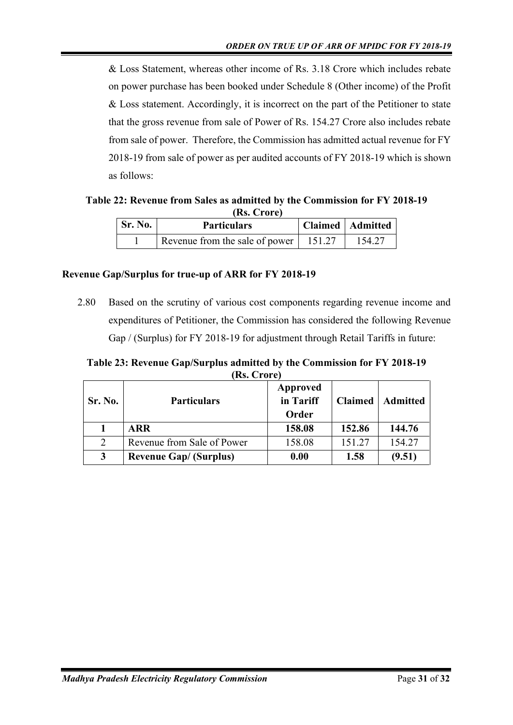& Loss Statement, whereas other income of Rs. 3.18 Crore which includes rebate on power purchase has been booked under Schedule 8 (Other income) of the Profit & Loss statement. Accordingly, it is incorrect on the part of the Petitioner to state that the gross revenue from sale of Power of Rs. 154.27 Crore also includes rebate from sale of power. Therefore, the Commission has admitted actual revenue for FY 2018-19 from sale of power as per audited accounts of FY 2018-19 which is shown as follows:

**Table 22: Revenue from Sales as admitted by the Commission for FY 2018-19 (Rs. Crore)**

| Sr. No. | <b>Particulars</b>             |        | Claimed   Admitted |
|---------|--------------------------------|--------|--------------------|
|         | Revenue from the sale of power | 151.27 | 154.27             |

## **Revenue Gap/Surplus for true-up of ARR for FY 2018-19**

2.80 Based on the scrutiny of various cost components regarding revenue income and expenditures of Petitioner, the Commission has considered the following Revenue Gap / (Surplus) for FY 2018-19 for adjustment through Retail Tariffs in future:

**Table 23: Revenue Gap/Surplus admitted by the Commission for FY 2018-19 (Rs. Crore)**

| Sr. No. | <b>Particulars</b>            | Approved<br>in Tariff<br>Order | <b>Claimed</b> | <b>Admitted</b> |
|---------|-------------------------------|--------------------------------|----------------|-----------------|
|         | ARR                           | 158.08                         | 152.86         | 144.76          |
| 2       | Revenue from Sale of Power    | 158.08                         | 151.27         | 154.27          |
| 3       | <b>Revenue Gap/ (Surplus)</b> | 0.00                           | 1.58           | (9.51)          |